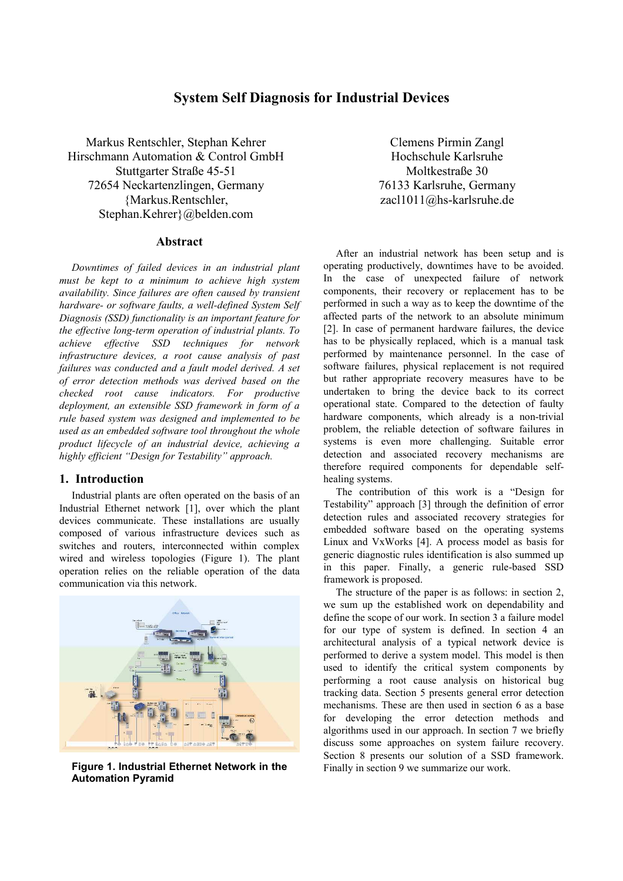# **System Self Diagnosis for Industrial Devices**

Markus Rentschler, Stephan Kehrer Hirschmann Automation & Control GmbH Stuttgarter Straße 45-51 72654 Neckartenzlingen, Germany {Markus.Rentschler, Stephan.Kehrer}@belden.com

# **Abstract**

*Downtimes of failed devices in an industrial plant must be kept to a minimum to achieve high system availability. Since failures are often caused by transient hardware- or software faults, a well-defined System Self Diagnosis (SSD) functionality is an important feature for the effective long-term operation of industrial plants. To achieve effective SSD techniques for network infrastructure devices, a root cause analysis of past failures was conducted and a fault model derived. A set of error detection methods was derived based on the checked root cause indicators. For productive deployment, an extensible SSD framework in form of a rule based system was designed and implemented to be used as an embedded software tool throughout the whole product lifecycle of an industrial device, achieving a highly efficient "Design for Testability" approach.*

# **1. Introduction**

Industrial plants are often operated on the basis of an Industrial Ethernet network [1], over which the plant devices communicate. These installations are usually composed of various infrastructure devices such as switches and routers, interconnected within complex wired and wireless topologies (Figure 1). The plant operation relies on the reliable operation of the data communication via this network.



**Figure 1. Industrial Ethernet Network in the Automation Pyramid** 

Clemens Pirmin Zangl Hochschule Karlsruhe Moltkestraße 30 76133 Karlsruhe, Germany zacl1011@hs-karlsruhe.de

After an industrial network has been setup and is operating productively, downtimes have to be avoided. In the case of unexpected failure of network components, their recovery or replacement has to be performed in such a way as to keep the downtime of the affected parts of the network to an absolute minimum [2]. In case of permanent hardware failures, the device has to be physically replaced, which is a manual task performed by maintenance personnel. In the case of software failures, physical replacement is not required but rather appropriate recovery measures have to be undertaken to bring the device back to its correct operational state. Compared to the detection of faulty hardware components, which already is a non-trivial problem, the reliable detection of software failures in systems is even more challenging. Suitable error detection and associated recovery mechanisms are therefore required components for dependable selfhealing systems.

The contribution of this work is a "Design for Testability" approach [3] through the definition of error detection rules and associated recovery strategies for embedded software based on the operating systems Linux and VxWorks [4]. A process model as basis for generic diagnostic rules identification is also summed up in this paper. Finally, a generic rule-based SSD framework is proposed.

The structure of the paper is as follows: in section 2, we sum up the established work on dependability and define the scope of our work. In section 3 a failure model for our type of system is defined. In section 4 an architectural analysis of a typical network device is performed to derive a system model. This model is then used to identify the critical system components by performing a root cause analysis on historical bug tracking data. Section 5 presents general error detection mechanisms. These are then used in section 6 as a base for developing the error detection methods and algorithms used in our approach. In section 7 we briefly discuss some approaches on system failure recovery. Section 8 presents our solution of a SSD framework. Finally in section 9 we summarize our work.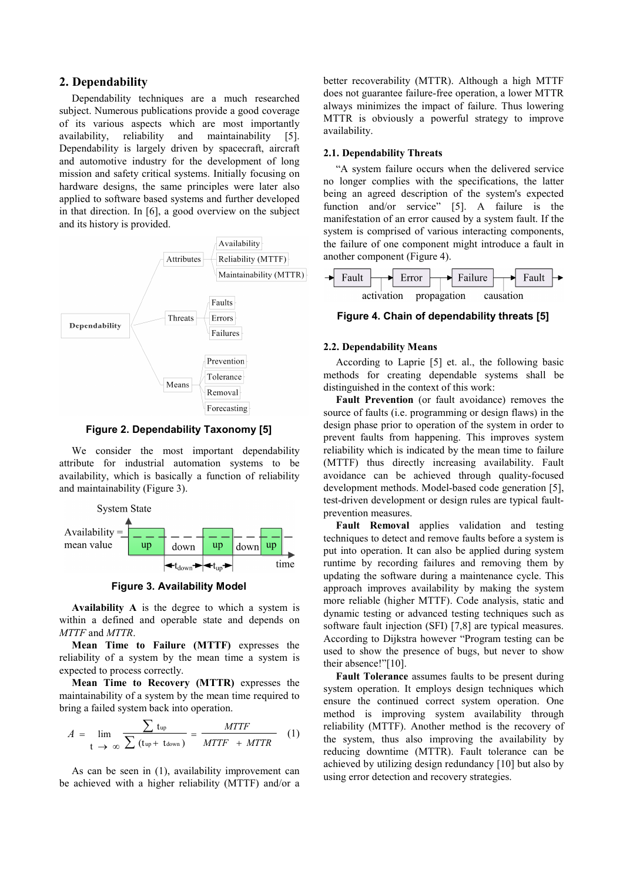# **2. Dependability**

Dependability techniques are a much researched subject. Numerous publications provide a good coverage of its various aspects which are most importantly availability, reliability and maintainability [5]. Dependability is largely driven by spacecraft, aircraft and automotive industry for the development of long mission and safety critical systems. Initially focusing on hardware designs, the same principles were later also applied to software based systems and further developed in that direction. In [6], a good overview on the subject and its history is provided.



**Figure 2. Dependability Taxonomy [5]** 

We consider the most important dependability attribute for industrial automation systems to be availability, which is basically a function of reliability and maintainability (Figure 3).



**Figure 3. Availability Model** 

**Availability A** is the degree to which a system is within a defined and operable state and depends on *MTTF* and *MTTR*.

**Mean Time to Failure (MTTF)** expresses the reliability of a system by the mean time a system is expected to process correctly.

**Mean Time to Recovery (MTTR)** expresses the maintainability of a system by the mean time required to bring a failed system back into operation.

$$
A = \lim_{t \to \infty} \frac{\sum t_{\text{up}}}{\sum (t_{\text{up}} + t_{\text{down}})} = \frac{MTTF}{MTTF + MTTR}
$$
 (1)

As can be seen in (1), availability improvement can be achieved with a higher reliability (MTTF) and/or a

better recoverability (MTTR). Although a high MTTF does not guarantee failure-free operation, a lower MTTR always minimizes the impact of failure. Thus lowering MTTR is obviously a powerful strategy to improve availability.

#### **2.1. Dependability Threats**

"A system failure occurs when the delivered service no longer complies with the specifications, the latter being an agreed description of the system's expected function and/or service" [5]. A failure is the manifestation of an error caused by a system fault. If the system is comprised of various interacting components, the failure of one component might introduce a fault in another component (Figure 4).



# **Figure 4. Chain of dependability threats [5]**

#### **2.2. Dependability Means**

According to Laprie [5] et. al., the following basic methods for creating dependable systems shall be distinguished in the context of this work:

**Fault Prevention** (or fault avoidance) removes the source of faults (i.e. programming or design flaws) in the design phase prior to operation of the system in order to prevent faults from happening. This improves system reliability which is indicated by the mean time to failure (MTTF) thus directly increasing availability. Fault avoidance can be achieved through quality-focused development methods. Model-based code generation [5], test-driven development or design rules are typical faultprevention measures.

**Fault Removal** applies validation and testing techniques to detect and remove faults before a system is put into operation. It can also be applied during system runtime by recording failures and removing them by updating the software during a maintenance cycle. This approach improves availability by making the system more reliable (higher MTTF). Code analysis, static and dynamic testing or advanced testing techniques such as software fault injection (SFI) [7,8] are typical measures. According to Dijkstra however "Program testing can be used to show the presence of bugs, but never to show their absence!"[10].

**Fault Tolerance** assumes faults to be present during system operation. It employs design techniques which ensure the continued correct system operation. One method is improving system availability through reliability (MTTF). Another method is the recovery of the system, thus also improving the availability by reducing downtime (MTTR). Fault tolerance can be achieved by utilizing design redundancy [10] but also by using error detection and recovery strategies.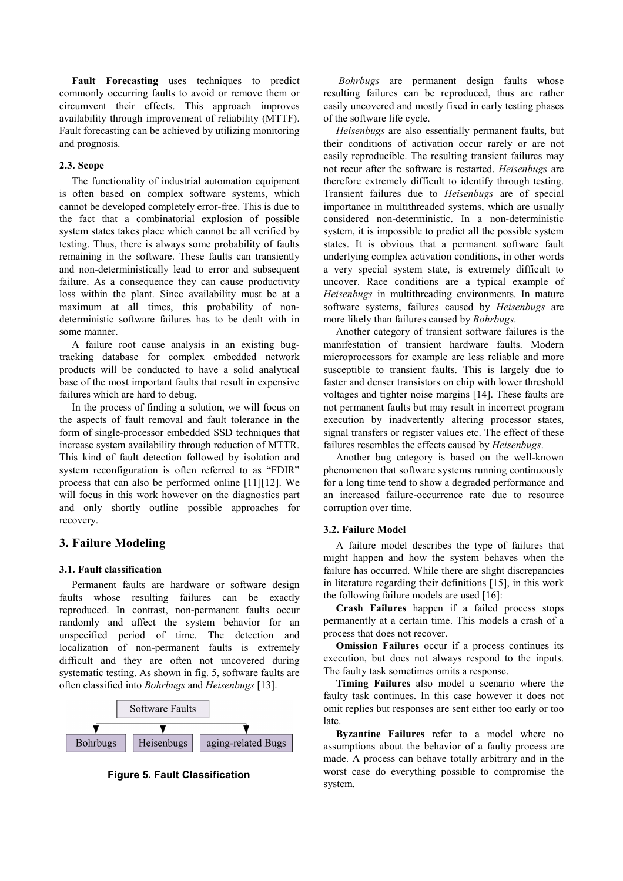**Fault Forecasting** uses techniques to predict commonly occurring faults to avoid or remove them or circumvent their effects. This approach improves availability through improvement of reliability (MTTF). Fault forecasting can be achieved by utilizing monitoring and prognosis.

### **2.3. Scope**

The functionality of industrial automation equipment is often based on complex software systems, which cannot be developed completely error-free. This is due to the fact that a combinatorial explosion of possible system states takes place which cannot be all verified by testing. Thus, there is always some probability of faults remaining in the software. These faults can transiently and non-deterministically lead to error and subsequent failure. As a consequence they can cause productivity loss within the plant. Since availability must be at a maximum at all times, this probability of nondeterministic software failures has to be dealt with in some manner.

A failure root cause analysis in an existing bugtracking database for complex embedded network products will be conducted to have a solid analytical base of the most important faults that result in expensive failures which are hard to debug.

In the process of finding a solution, we will focus on the aspects of fault removal and fault tolerance in the form of single-processor embedded SSD techniques that increase system availability through reduction of MTTR. This kind of fault detection followed by isolation and system reconfiguration is often referred to as "FDIR" process that can also be performed online [11][12]. We will focus in this work however on the diagnostics part and only shortly outline possible approaches for recovery.

# **3. Failure Modeling**

#### **3.1. Fault classification**

Permanent faults are hardware or software design faults whose resulting failures can be exactly reproduced. In contrast, non-permanent faults occur randomly and affect the system behavior for an unspecified period of time. The detection and localization of non-permanent faults is extremely difficult and they are often not uncovered during systematic testing. As shown in fig. 5, software faults are often classified into *Bohrbugs* and *Heisenbugs* [13].





*Bohrbugs* are permanent design faults whose resulting failures can be reproduced, thus are rather easily uncovered and mostly fixed in early testing phases of the software life cycle.

*Heisenbugs* are also essentially permanent faults, but their conditions of activation occur rarely or are not easily reproducible. The resulting transient failures may not recur after the software is restarted. *Heisenbugs* are therefore extremely difficult to identify through testing. Transient failures due to *Heisenbugs* are of special importance in multithreaded systems, which are usually considered non-deterministic. In a non-deterministic system, it is impossible to predict all the possible system states. It is obvious that a permanent software fault underlying complex activation conditions, in other words a very special system state, is extremely difficult to uncover. Race conditions are a typical example of *Heisenbugs* in multithreading environments. In mature software systems, failures caused by *Heisenbugs* are more likely than failures caused by *Bohrbugs*.

Another category of transient software failures is the manifestation of transient hardware faults. Modern microprocessors for example are less reliable and more susceptible to transient faults. This is largely due to faster and denser transistors on chip with lower threshold voltages and tighter noise margins [14]. These faults are not permanent faults but may result in incorrect program execution by inadvertently altering processor states, signal transfers or register values etc. The effect of these failures resembles the effects caused by *Heisenbugs*.

Another bug category is based on the well-known phenomenon that software systems running continuously for a long time tend to show a degraded performance and an increased failure-occurrence rate due to resource corruption over time.

#### **3.2. Failure Model**

A failure model describes the type of failures that might happen and how the system behaves when the failure has occurred. While there are slight discrepancies in literature regarding their definitions [15], in this work the following failure models are used [16]:

**Crash Failures** happen if a failed process stops permanently at a certain time. This models a crash of a process that does not recover.

**Omission Failures** occur if a process continues its execution, but does not always respond to the inputs. The faulty task sometimes omits a response.

**Timing Failures** also model a scenario where the faulty task continues. In this case however it does not omit replies but responses are sent either too early or too late.

**Byzantine Failures** refer to a model where no assumptions about the behavior of a faulty process are made. A process can behave totally arbitrary and in the worst case do everything possible to compromise the system.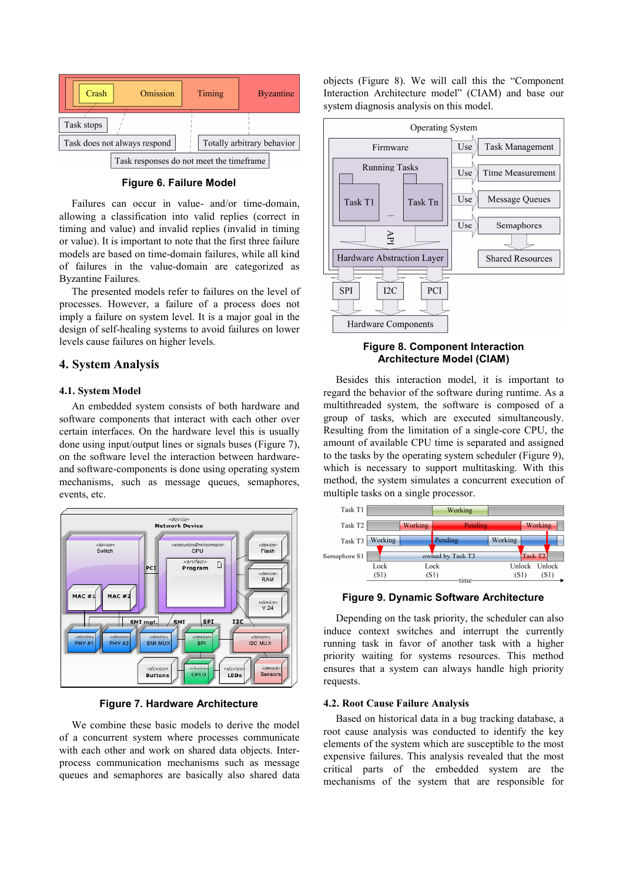

**Figure 6. Failure Model** 

Failures can occur in value- and/or time-domain, allowing a classification into valid replies (correct in timing and value) and invalid replies (invalid in timing or value). It is important to note that the first three failure models are based on time-domain failures, while all kind of failures in the value-domain are categorized as Byzantine Failures.

The presented models refer to failures on the level of processes. However, a failure of a process does not imply a failure on system level. It is a major goal in the design of self-healing systems to avoid failures on lower levels cause failures on higher levels.

# **4. System Analysis**

#### **4.1. System Model**

An embedded system consists of both hardware and software components that interact with each other over certain interfaces. On the hardware level this is usually done using input/output lines or signals buses (Figure 7), on the software level the interaction between hardwareand software-components is done using operating system mechanisms, such as message queues, semaphores, events, etc.



**Figure 7. Hardware Architecture** 

We combine these basic models to derive the model of a concurrent system where processes communicate with each other and work on shared data objects. Interprocess communication mechanisms such as message queues and semaphores are basically also shared data objects (Figure 8). We will call this the "Component Interaction Architecture model" (CIAM) and base our system diagnosis analysis on this model.



### **Figure 8. Component Interaction Architecture Model (CIAM)**

Besides this interaction model, it is important to regard the behavior of the software during runtime. As a multithreaded system, the software is composed of a group of tasks, which are executed simultaneously. Resulting from the limitation of a single-core CPU, the amount of available CPU time is separated and assigned to the tasks by the operating system scheduler (Figure 9), which is necessary to support multitasking. With this method, the system simulates a concurrent execution of multiple tasks on a single processor.



**Figure 9. Dynamic Software Architecture** 

Depending on the task priority, the scheduler can also induce context switches and interrupt the currently running task in favor of another task with a higher priority waiting for systems resources. This method ensures that a system can always handle high priority requests.

#### **4.2. Root Cause Failure Analysis**

Based on historical data in a bug tracking database, a root cause analysis was conducted to identify the key elements of the system which are susceptible to the most expensive failures. This analysis revealed that the most critical parts of the embedded system are the mechanisms of the system that are responsible for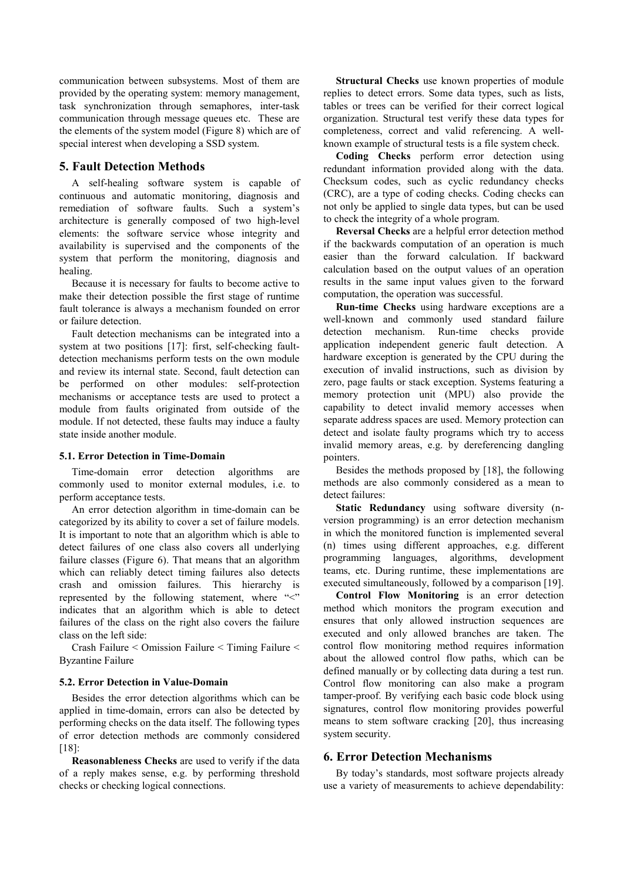communication between subsystems. Most of them are provided by the operating system: memory management, task synchronization through semaphores, inter-task communication through message queues etc. These are the elements of the system model (Figure 8) which are of special interest when developing a SSD system.

# **5. Fault Detection Methods**

A self-healing software system is capable of continuous and automatic monitoring, diagnosis and remediation of software faults. Such a system's architecture is generally composed of two high-level elements: the software service whose integrity and availability is supervised and the components of the system that perform the monitoring, diagnosis and healing.

Because it is necessary for faults to become active to make their detection possible the first stage of runtime fault tolerance is always a mechanism founded on error or failure detection.

Fault detection mechanisms can be integrated into a system at two positions [17]: first, self-checking faultdetection mechanisms perform tests on the own module and review its internal state. Second, fault detection can be performed on other modules: self-protection mechanisms or acceptance tests are used to protect a module from faults originated from outside of the module. If not detected, these faults may induce a faulty state inside another module.

### **5.1. Error Detection in Time-Domain**

Time-domain error detection algorithms are commonly used to monitor external modules, i.e. to perform acceptance tests.

An error detection algorithm in time-domain can be categorized by its ability to cover a set of failure models. It is important to note that an algorithm which is able to detect failures of one class also covers all underlying failure classes (Figure 6). That means that an algorithm which can reliably detect timing failures also detects crash and omission failures. This hierarchy is represented by the following statement, where "<" indicates that an algorithm which is able to detect failures of the class on the right also covers the failure class on the left side:

Crash Failure < Omission Failure < Timing Failure < Byzantine Failure

# **5.2. Error Detection in Value-Domain**

Besides the error detection algorithms which can be applied in time-domain, errors can also be detected by performing checks on the data itself. The following types of error detection methods are commonly considered [18]:

**Reasonableness Checks** are used to verify if the data of a reply makes sense, e.g. by performing threshold checks or checking logical connections.

**Structural Checks** use known properties of module replies to detect errors. Some data types, such as lists, tables or trees can be verified for their correct logical organization. Structural test verify these data types for completeness, correct and valid referencing. A wellknown example of structural tests is a file system check.

**Coding Checks** perform error detection using redundant information provided along with the data. Checksum codes, such as cyclic redundancy checks (CRC), are a type of coding checks. Coding checks can not only be applied to single data types, but can be used to check the integrity of a whole program.

**Reversal Checks** are a helpful error detection method if the backwards computation of an operation is much easier than the forward calculation. If backward calculation based on the output values of an operation results in the same input values given to the forward computation, the operation was successful.

**Run-time Checks** using hardware exceptions are a well-known and commonly used standard failure detection mechanism. Run-time checks provide application independent generic fault detection. A hardware exception is generated by the CPU during the execution of invalid instructions, such as division by zero, page faults or stack exception. Systems featuring a memory protection unit (MPU) also provide the capability to detect invalid memory accesses when separate address spaces are used. Memory protection can detect and isolate faulty programs which try to access invalid memory areas, e.g. by dereferencing dangling pointers.

Besides the methods proposed by [18], the following methods are also commonly considered as a mean to detect failures:

**Static Redundancy** using software diversity (nversion programming) is an error detection mechanism in which the monitored function is implemented several (n) times using different approaches, e.g. different programming languages, algorithms, development teams, etc. During runtime, these implementations are executed simultaneously, followed by a comparison [19].

**Control Flow Monitoring** is an error detection method which monitors the program execution and ensures that only allowed instruction sequences are executed and only allowed branches are taken. The control flow monitoring method requires information about the allowed control flow paths, which can be defined manually or by collecting data during a test run. Control flow monitoring can also make a program tamper-proof. By verifying each basic code block using signatures, control flow monitoring provides powerful means to stem software cracking [20], thus increasing system security.

# **6. Error Detection Mechanisms**

By today's standards, most software projects already use a variety of measurements to achieve dependability: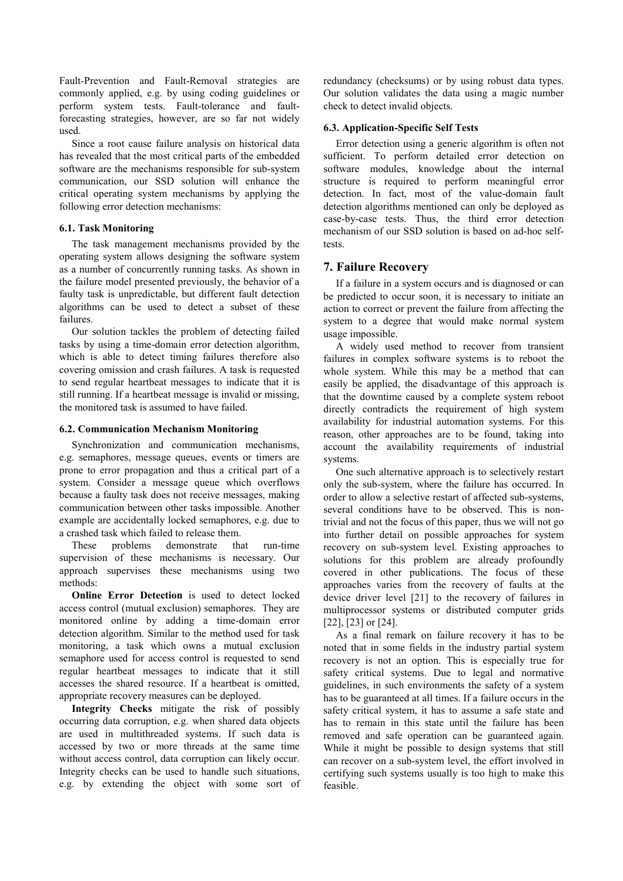Fault-Prevention and Fault-Removal strategies are commonly applied, e.g. by using coding guidelines or perform system tests. Fault-tolerance and faultforecasting strategies, however, are so far not widely used.

Since a root cause failure analysis on historical data has revealed that the most critical parts of the embedded software are the mechanisms responsible for sub-system communication, our SSD solution will enhance the critical operating system mechanisms by applying the following error detection mechanisms:

# **6.1. Task Monitoring**

The task management mechanisms provided by the operating system allows designing the software system as a number of concurrently running tasks. As shown in the failure model presented previously, the behavior of a faulty task is unpredictable, but different fault detection algorithms can be used to detect a subset of these failures.

Our solution tackles the problem of detecting failed tasks by using a time-domain error detection algorithm, which is able to detect timing failures therefore also covering omission and crash failures. A task is requested to send regular heartbeat messages to indicate that it is still running. If a heartbeat message is invalid or missing, the monitored task is assumed to have failed.

### **6.2. Communication Mechanism Monitoring**

Synchronization and communication mechanisms, e.g. semaphores, message queues, events or timers are prone to error propagation and thus a critical part of a system. Consider a message queue which overflows because a faulty task does not receive messages, making communication between other tasks impossible. Another example are accidentally locked semaphores, e.g. due to a crashed task which failed to release them.

These problems demonstrate that run-time supervision of these mechanisms is necessary. Our approach supervises these mechanisms using two methods:

**Online Error Detection** is used to detect locked access control (mutual exclusion) semaphores. They are monitored online by adding a time-domain error detection algorithm. Similar to the method used for task monitoring, a task which owns a mutual exclusion semaphore used for access control is requested to send regular heartbeat messages to indicate that it still accesses the shared resource. If a heartbeat is omitted, appropriate recovery measures can be deployed.

**Integrity Checks** mitigate the risk of possibly occurring data corruption, e.g. when shared data objects are used in multithreaded systems. If such data is accessed by two or more threads at the same time without access control, data corruption can likely occur. Integrity checks can be used to handle such situations, e.g. by extending the object with some sort of

redundancy (checksums) or by using robust data types. Our solution validates the data using a magic number check to detect invalid objects.

### **6.3. Application-Specific Self Tests**

Error detection using a generic algorithm is often not sufficient. To perform detailed error detection on software modules, knowledge about the internal structure is required to perform meaningful error detection. In fact, most of the value-domain fault detection algorithms mentioned can only be deployed as case-by-case tests. Thus, the third error detection mechanism of our SSD solution is based on ad-hoc selftests.

# **7. Failure Recovery**

If a failure in a system occurs and is diagnosed or can be predicted to occur soon, it is necessary to initiate an action to correct or prevent the failure from affecting the system to a degree that would make normal system usage impossible.

A widely used method to recover from transient failures in complex software systems is to reboot the whole system. While this may be a method that can easily be applied, the disadvantage of this approach is that the downtime caused by a complete system reboot directly contradicts the requirement of high system availability for industrial automation systems. For this reason, other approaches are to be found, taking into account the availability requirements of industrial systems.

One such alternative approach is to selectively restart only the sub-system, where the failure has occurred. In order to allow a selective restart of affected sub-systems, several conditions have to be observed. This is nontrivial and not the focus of this paper, thus we will not go into further detail on possible approaches for system recovery on sub-system level. Existing approaches to solutions for this problem are already profoundly covered in other publications. The focus of these approaches varies from the recovery of faults at the device driver level [21] to the recovery of failures in multiprocessor systems or distributed computer grids [22], [23] or [24].

As a final remark on failure recovery it has to be noted that in some fields in the industry partial system recovery is not an option. This is especially true for safety critical systems. Due to legal and normative guidelines, in such environments the safety of a system has to be guaranteed at all times. If a failure occurs in the safety critical system, it has to assume a safe state and has to remain in this state until the failure has been removed and safe operation can be guaranteed again. While it might be possible to design systems that still can recover on a sub-system level, the effort involved in certifying such systems usually is too high to make this feasible.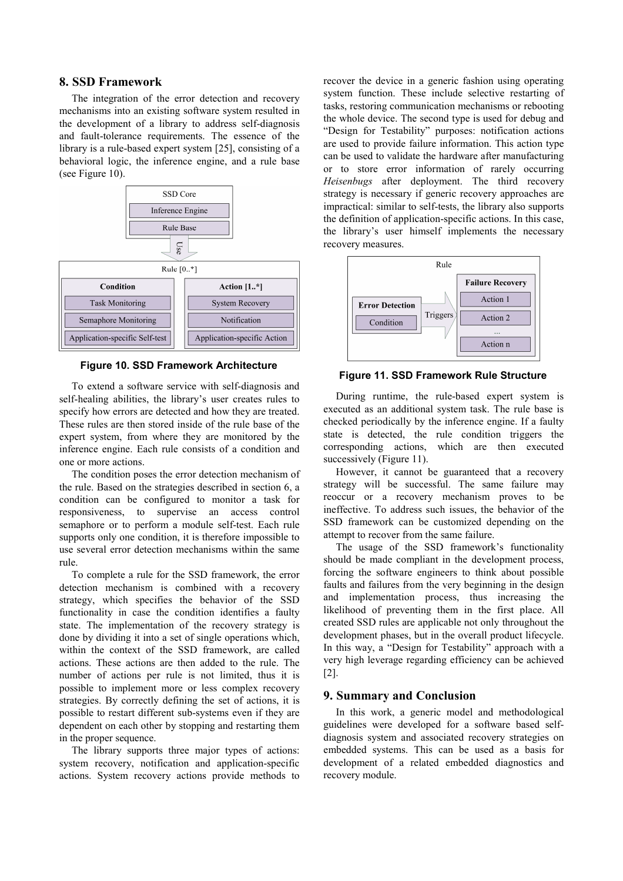# **8. SSD Framework**

The integration of the error detection and recovery mechanisms into an existing software system resulted in the development of a library to address self-diagnosis and fault-tolerance requirements. The essence of the library is a rule-based expert system [25], consisting of a behavioral logic, the inference engine, and a rule base (see Figure 10).





To extend a software service with self-diagnosis and self-healing abilities, the library's user creates rules to specify how errors are detected and how they are treated. These rules are then stored inside of the rule base of the expert system, from where they are monitored by the inference engine. Each rule consists of a condition and one or more actions.

The condition poses the error detection mechanism of the rule. Based on the strategies described in section 6, a condition can be configured to monitor a task for responsiveness, to supervise an access control semaphore or to perform a module self-test. Each rule supports only one condition, it is therefore impossible to use several error detection mechanisms within the same rule.

To complete a rule for the SSD framework, the error detection mechanism is combined with a recovery strategy, which specifies the behavior of the SSD functionality in case the condition identifies a faulty state. The implementation of the recovery strategy is done by dividing it into a set of single operations which, within the context of the SSD framework, are called actions. These actions are then added to the rule. The number of actions per rule is not limited, thus it is possible to implement more or less complex recovery strategies. By correctly defining the set of actions, it is possible to restart different sub-systems even if they are dependent on each other by stopping and restarting them in the proper sequence.

The library supports three major types of actions: system recovery, notification and application-specific actions. System recovery actions provide methods to

recover the device in a generic fashion using operating system function. These include selective restarting of tasks, restoring communication mechanisms or rebooting the whole device. The second type is used for debug and "Design for Testability" purposes: notification actions are used to provide failure information. This action type can be used to validate the hardware after manufacturing or to store error information of rarely occurring *Heisenbugs* after deployment. The third recovery strategy is necessary if generic recovery approaches are impractical: similar to self-tests, the library also supports the definition of application-specific actions. In this case, the library's user himself implements the necessary recovery measures.



**Figure 11. SSD Framework Rule Structure** 

During runtime, the rule-based expert system is executed as an additional system task. The rule base is checked periodically by the inference engine. If a faulty state is detected, the rule condition triggers the corresponding actions, which are then executed successively (Figure 11).

However, it cannot be guaranteed that a recovery strategy will be successful. The same failure may reoccur or a recovery mechanism proves to be ineffective. To address such issues, the behavior of the SSD framework can be customized depending on the attempt to recover from the same failure.

The usage of the SSD framework's functionality should be made compliant in the development process, forcing the software engineers to think about possible faults and failures from the very beginning in the design and implementation process, thus increasing the likelihood of preventing them in the first place. All created SSD rules are applicable not only throughout the development phases, but in the overall product lifecycle. In this way, a "Design for Testability" approach with a very high leverage regarding efficiency can be achieved [2].

# **9. Summary and Conclusion**

In this work, a generic model and methodological guidelines were developed for a software based selfdiagnosis system and associated recovery strategies on embedded systems. This can be used as a basis for development of a related embedded diagnostics and recovery module.